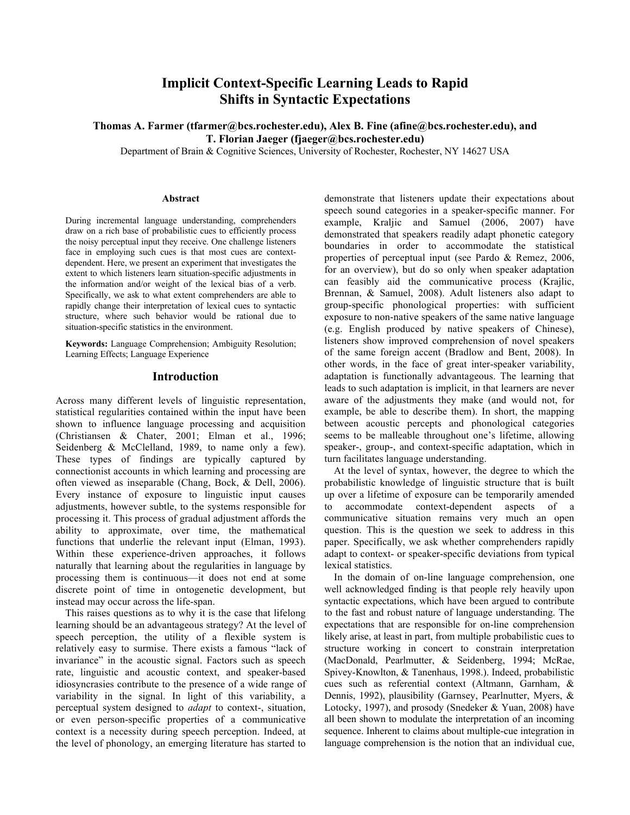# **Implicit Context-Specific Learning Leads to Rapid Shifts in Syntactic Expectations**

**Thomas A. Farmer (tfarmer@bcs.rochester.edu), Alex B. Fine (afine@bcs.rochester.edu), and T. Florian Jaeger (fjaeger@bcs.rochester.edu)**

Department of Brain & Cognitive Sciences, University of Rochester, Rochester, NY 14627 USA

#### **Abstract**

During incremental language understanding, comprehenders draw on a rich base of probabilistic cues to efficiently process the noisy perceptual input they receive. One challenge listeners face in employing such cues is that most cues are contextdependent. Here, we present an experiment that investigates the extent to which listeners learn situation-specific adjustments in the information and/or weight of the lexical bias of a verb. Specifically, we ask to what extent comprehenders are able to rapidly change their interpretation of lexical cues to syntactic structure, where such behavior would be rational due to situation-specific statistics in the environment.

**Keywords:** Language Comprehension; Ambiguity Resolution; Learning Effects; Language Experience

## **Introduction**

Across many different levels of linguistic representation, statistical regularities contained within the input have been shown to influence language processing and acquisition (Christiansen & Chater, 2001; Elman et al., 1996; Seidenberg & McClelland, 1989, to name only a few). These types of findings are typically captured by connectionist accounts in which learning and processing are often viewed as inseparable (Chang, Bock, & Dell, 2006). Every instance of exposure to linguistic input causes adjustments, however subtle, to the systems responsible for processing it. This process of gradual adjustment affords the ability to approximate, over time, the mathematical functions that underlie the relevant input (Elman, 1993). Within these experience-driven approaches, it follows naturally that learning about the regularities in language by processing them is continuous—it does not end at some discrete point of time in ontogenetic development, but instead may occur across the life-span.

This raises questions as to why it is the case that lifelong learning should be an advantageous strategy? At the level of speech perception, the utility of a flexible system is relatively easy to surmise. There exists a famous "lack of invariance" in the acoustic signal. Factors such as speech rate, linguistic and acoustic context, and speaker-based idiosyncrasies contribute to the presence of a wide range of variability in the signal. In light of this variability, a perceptual system designed to *adapt* to context-, situation, or even person-specific properties of a communicative context is a necessity during speech perception. Indeed, at the level of phonology, an emerging literature has started to

demonstrate that listeners update their expectations about speech sound categories in a speaker-specific manner. For example, Kraljic and Samuel (2006, 2007) have demonstrated that speakers readily adapt phonetic category boundaries in order to accommodate the statistical properties of perceptual input (see Pardo & Remez, 2006, for an overview), but do so only when speaker adaptation can feasibly aid the communicative process (Krajlic, Brennan, & Samuel, 2008). Adult listeners also adapt to group-specific phonological properties: with sufficient exposure to non-native speakers of the same native language (e.g. English produced by native speakers of Chinese), listeners show improved comprehension of novel speakers of the same foreign accent (Bradlow and Bent, 2008). In other words, in the face of great inter-speaker variability, adaptation is functionally advantageous. The learning that leads to such adaptation is implicit, in that learners are never aware of the adjustments they make (and would not, for example, be able to describe them). In short, the mapping between acoustic percepts and phonological categories seems to be malleable throughout one's lifetime, allowing speaker-, group-, and context-specific adaptation, which in turn facilitates language understanding.

At the level of syntax, however, the degree to which the probabilistic knowledge of linguistic structure that is built up over a lifetime of exposure can be temporarily amended to accommodate context-dependent aspects of a communicative situation remains very much an open question. This is the question we seek to address in this paper. Specifically, we ask whether comprehenders rapidly adapt to context- or speaker-specific deviations from typical lexical statistics.

In the domain of on-line language comprehension, one well acknowledged finding is that people rely heavily upon syntactic expectations, which have been argued to contribute to the fast and robust nature of language understanding. The expectations that are responsible for on-line comprehension likely arise, at least in part, from multiple probabilistic cues to structure working in concert to constrain interpretation (MacDonald, Pearlmutter, & Seidenberg, 1994; McRae, Spivey-Knowlton, & Tanenhaus, 1998.). Indeed, probabilistic cues such as referential context (Altmann, Garnham, & Dennis, 1992), plausibility (Garnsey, Pearlnutter, Myers, & Lotocky, 1997), and prosody (Snedeker & Yuan, 2008) have all been shown to modulate the interpretation of an incoming sequence. Inherent to claims about multiple-cue integration in language comprehension is the notion that an individual cue,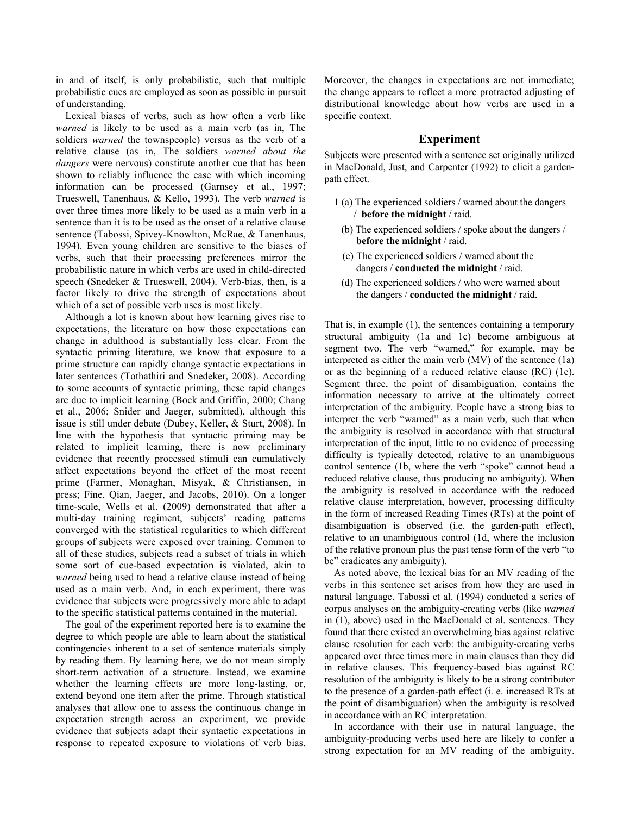in and of itself, is only probabilistic, such that multiple probabilistic cues are employed as soon as possible in pursuit of understanding.

Lexical biases of verbs, such as how often a verb like *warned* is likely to be used as a main verb (as in, The soldiers *warned* the townspeople) versus as the verb of a relative clause (as in, The soldiers *warned about the dangers* were nervous) constitute another cue that has been shown to reliably influence the ease with which incoming information can be processed (Garnsey et al., 1997; Trueswell, Tanenhaus, & Kello, 1993). The verb *warned* is over three times more likely to be used as a main verb in a sentence than it is to be used as the onset of a relative clause sentence (Tabossi, Spivey-Knowlton, McRae, & Tanenhaus, 1994). Even young children are sensitive to the biases of verbs, such that their processing preferences mirror the probabilistic nature in which verbs are used in child-directed speech (Snedeker & Trueswell, 2004). Verb-bias, then, is a factor likely to drive the strength of expectations about which of a set of possible verb uses is most likely.

Although a lot is known about how learning gives rise to expectations, the literature on how those expectations can change in adulthood is substantially less clear. From the syntactic priming literature, we know that exposure to a prime structure can rapidly change syntactic expectations in later sentences (Tothathiri and Snedeker, 2008). According to some accounts of syntactic priming, these rapid changes are due to implicit learning (Bock and Griffin, 2000; Chang et al., 2006; Snider and Jaeger, submitted), although this issue is still under debate (Dubey, Keller, & Sturt, 2008). In line with the hypothesis that syntactic priming may be related to implicit learning, there is now preliminary evidence that recently processed stimuli can cumulatively affect expectations beyond the effect of the most recent prime (Farmer, Monaghan, Misyak, & Christiansen, in press; Fine, Qian, Jaeger, and Jacobs, 2010). On a longer time-scale, Wells et al. (2009) demonstrated that after a multi-day training regiment, subjects' reading patterns converged with the statistical regularities to which different groups of subjects were exposed over training. Common to all of these studies, subjects read a subset of trials in which some sort of cue-based expectation is violated, akin to *warned* being used to head a relative clause instead of being used as a main verb. And, in each experiment, there was evidence that subjects were progressively more able to adapt to the specific statistical patterns contained in the material.

The goal of the experiment reported here is to examine the degree to which people are able to learn about the statistical contingencies inherent to a set of sentence materials simply by reading them. By learning here, we do not mean simply short-term activation of a structure. Instead, we examine whether the learning effects are more long-lasting, or, extend beyond one item after the prime. Through statistical analyses that allow one to assess the continuous change in expectation strength across an experiment, we provide evidence that subjects adapt their syntactic expectations in response to repeated exposure to violations of verb bias.

Moreover, the changes in expectations are not immediate; the change appears to reflect a more protracted adjusting of distributional knowledge about how verbs are used in a specific context.

#### **Experiment**

Subjects were presented with a sentence set originally utilized in MacDonald, Just, and Carpenter (1992) to elicit a gardenpath effect.

- 1 (a) The experienced soldiers / warned about the dangers / **before the midnight** / raid.
	- (b) The experienced soldiers / spoke about the dangers / **before the midnight** / raid.
	- (c) The experienced soldiers / warned about the dangers / **conducted the midnight** / raid.
	- (d) The experienced soldiers / who were warned about the dangers / **conducted the midnight** / raid.

That is, in example (1), the sentences containing a temporary structural ambiguity (1a and 1c) become ambiguous at segment two. The verb "warned," for example, may be interpreted as either the main verb (MV) of the sentence (1a) or as the beginning of a reduced relative clause (RC) (1c). Segment three, the point of disambiguation, contains the information necessary to arrive at the ultimately correct interpretation of the ambiguity. People have a strong bias to interpret the verb "warned" as a main verb, such that when the ambiguity is resolved in accordance with that structural interpretation of the input, little to no evidence of processing difficulty is typically detected, relative to an unambiguous control sentence (1b, where the verb "spoke" cannot head a reduced relative clause, thus producing no ambiguity). When the ambiguity is resolved in accordance with the reduced relative clause interpretation, however, processing difficulty in the form of increased Reading Times (RTs) at the point of disambiguation is observed (i.e. the garden-path effect), relative to an unambiguous control (1d, where the inclusion of the relative pronoun plus the past tense form of the verb "to be" eradicates any ambiguity).

As noted above, the lexical bias for an MV reading of the verbs in this sentence set arises from how they are used in natural language. Tabossi et al. (1994) conducted a series of corpus analyses on the ambiguity-creating verbs (like *warned* in (1), above) used in the MacDonald et al. sentences. They found that there existed an overwhelming bias against relative clause resolution for each verb: the ambiguity-creating verbs appeared over three times more in main clauses than they did in relative clauses. This frequency-based bias against RC resolution of the ambiguity is likely to be a strong contributor to the presence of a garden-path effect (i. e. increased RTs at the point of disambiguation) when the ambiguity is resolved in accordance with an RC interpretation.

In accordance with their use in natural language, the ambiguity-producing verbs used here are likely to confer a strong expectation for an MV reading of the ambiguity.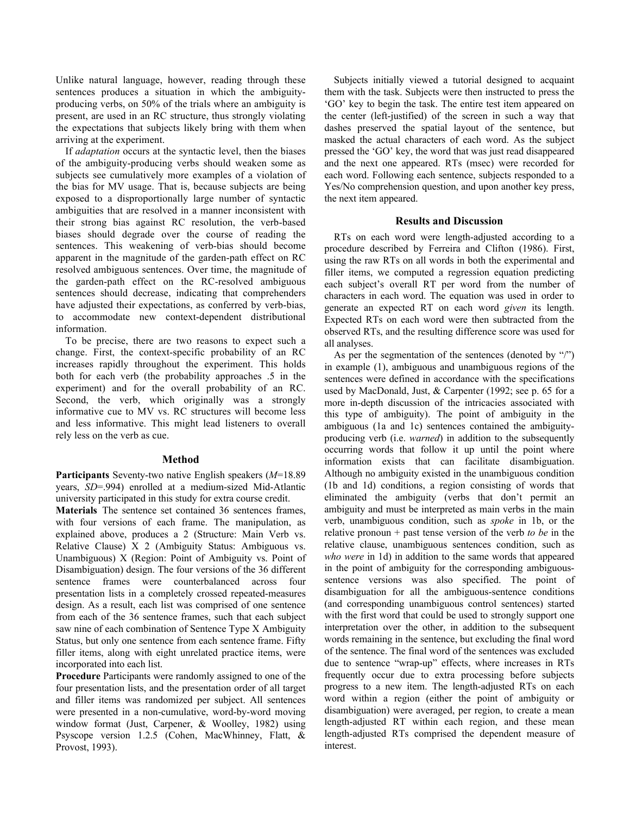Unlike natural language, however, reading through these sentences produces a situation in which the ambiguityproducing verbs, on 50% of the trials where an ambiguity is present, are used in an RC structure, thus strongly violating the expectations that subjects likely bring with them when arriving at the experiment.

If *adaptation* occurs at the syntactic level, then the biases of the ambiguity-producing verbs should weaken some as subjects see cumulatively more examples of a violation of the bias for MV usage. That is, because subjects are being exposed to a disproportionally large number of syntactic ambiguities that are resolved in a manner inconsistent with their strong bias against RC resolution, the verb-based biases should degrade over the course of reading the sentences. This weakening of verb-bias should become apparent in the magnitude of the garden-path effect on RC resolved ambiguous sentences. Over time, the magnitude of the garden-path effect on the RC-resolved ambiguous sentences should decrease, indicating that comprehenders have adjusted their expectations, as conferred by verb-bias, to accommodate new context-dependent distributional information.

To be precise, there are two reasons to expect such a change. First, the context-specific probability of an RC increases rapidly throughout the experiment. This holds both for each verb (the probability approaches .5 in the experiment) and for the overall probability of an RC. Second, the verb, which originally was a strongly informative cue to MV vs. RC structures will become less and less informative. This might lead listeners to overall rely less on the verb as cue.

### **Method**

**Participants** Seventy-two native English speakers (*M*=18.89 years, *SD*=.994) enrolled at a medium-sized Mid-Atlantic university participated in this study for extra course credit.

**Materials** The sentence set contained 36 sentences frames, with four versions of each frame. The manipulation, as explained above, produces a 2 (Structure: Main Verb vs. Relative Clause) X 2 (Ambiguity Status: Ambiguous vs. Unambiguous) X (Region: Point of Ambiguity vs. Point of Disambiguation) design. The four versions of the 36 different sentence frames were counterbalanced across four presentation lists in a completely crossed repeated-measures design. As a result, each list was comprised of one sentence from each of the 36 sentence frames, such that each subject saw nine of each combination of Sentence Type X Ambiguity Status, but only one sentence from each sentence frame. Fifty filler items, along with eight unrelated practice items, were incorporated into each list.

**Procedure** Participants were randomly assigned to one of the four presentation lists, and the presentation order of all target and filler items was randomized per subject. All sentences were presented in a non-cumulative, word-by-word moving window format (Just, Carpener, & Woolley, 1982) using Psyscope version 1.2.5 (Cohen, MacWhinney, Flatt, & Provost, 1993).

Subjects initially viewed a tutorial designed to acquaint them with the task. Subjects were then instructed to press the 'GO' key to begin the task. The entire test item appeared on the center (left-justified) of the screen in such a way that dashes preserved the spatial layout of the sentence, but masked the actual characters of each word. As the subject pressed the 'GO' key, the word that was just read disappeared and the next one appeared. RTs (msec) were recorded for each word. Following each sentence, subjects responded to a Yes/No comprehension question, and upon another key press, the next item appeared.

# **Results and Discussion**

RTs on each word were length-adjusted according to a procedure described by Ferreira and Clifton (1986). First, using the raw RTs on all words in both the experimental and filler items, we computed a regression equation predicting each subject's overall RT per word from the number of characters in each word. The equation was used in order to generate an expected RT on each word *given* its length. Expected RTs on each word were then subtracted from the observed RTs, and the resulting difference score was used for all analyses.

As per the segmentation of the sentences (denoted by "/") in example (1), ambiguous and unambiguous regions of the sentences were defined in accordance with the specifications used by MacDonald, Just, & Carpenter (1992; see p. 65 for a more in-depth discussion of the intricacies associated with this type of ambiguity). The point of ambiguity in the ambiguous (1a and 1c) sentences contained the ambiguityproducing verb (i.e. *warned*) in addition to the subsequently occurring words that follow it up until the point where information exists that can facilitate disambiguation. Although no ambiguity existed in the unambiguous condition (1b and 1d) conditions, a region consisting of words that eliminated the ambiguity (verbs that don't permit an ambiguity and must be interpreted as main verbs in the main verb, unambiguous condition, such as *spoke* in 1b, or the relative pronoun + past tense version of the verb *to be* in the relative clause, unambiguous sentences condition, such as *who were* in 1d) in addition to the same words that appeared in the point of ambiguity for the corresponding ambiguoussentence versions was also specified. The point of disambiguation for all the ambiguous-sentence conditions (and corresponding unambiguous control sentences) started with the first word that could be used to strongly support one interpretation over the other, in addition to the subsequent words remaining in the sentence, but excluding the final word of the sentence. The final word of the sentences was excluded due to sentence "wrap-up" effects, where increases in RTs frequently occur due to extra processing before subjects progress to a new item. The length-adjusted RTs on each word within a region (either the point of ambiguity or disambiguation) were averaged, per region, to create a mean length-adjusted RT within each region, and these mean length-adjusted RTs comprised the dependent measure of interest.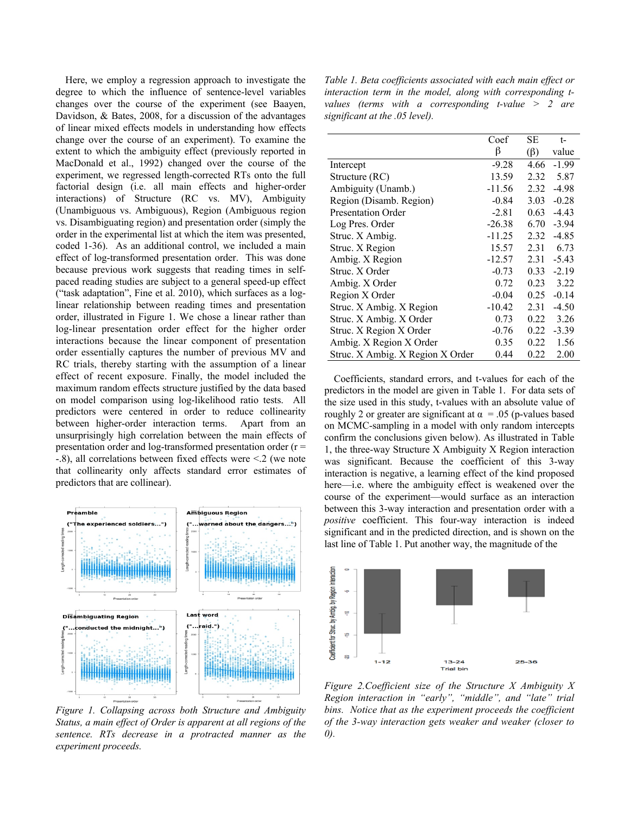Here, we employ a regression approach to investigate the degree to which the influence of sentence-level variables changes over the course of the experiment (see Baayen, Davidson, & Bates, 2008, for a discussion of the advantages of linear mixed effects models in understanding how effects change over the course of an experiment). To examine the extent to which the ambiguity effect (previously reported in MacDonald et al., 1992) changed over the course of the experiment, we regressed length-corrected RTs onto the full factorial design (i.e. all main effects and higher-order interactions) of Structure (RC vs. MV), Ambiguity (Unambiguous vs. Ambiguous), Region (Ambiguous region vs. Disambiguating region) and presentation order (simply the order in the experimental list at which the item was presented, coded 1-36). As an additional control, we included a main effect of log-transformed presentation order. This was done because previous work suggests that reading times in selfpaced reading studies are subject to a general speed-up effect ("task adaptation", Fine et al. 2010), which surfaces as a loglinear relationship between reading times and presentation order, illustrated in Figure 1. We chose a linear rather than log-linear presentation order effect for the higher order interactions because the linear component of presentation order essentially captures the number of previous MV and RC trials, thereby starting with the assumption of a linear effect of recent exposure. Finally, the model included the maximum random effects structure justified by the data based on model comparison using log-likelihood ratio tests. All predictors were centered in order to reduce collinearity between higher-order interaction terms. Apart from an unsurprisingly high correlation between the main effects of presentation order and log-transformed presentation order (r = -.8), all correlations between fixed effects were <.2 (we note that collinearity only affects standard error estimates of predictors that are collinear).



*Figure 1. Collapsing across both Structure and Ambiguity Status, a main effect of Order is apparent at all regions of the sentence. RTs decrease in a protracted manner as the experiment proceeds.* 

*Table 1. Beta coefficients associated with each main effect or interaction term in the model, along with corresponding tvalues (terms with a corresponding t-value > 2 are significant at the .05 level).*

|                                  | Coef     | SЕ        | t-      |
|----------------------------------|----------|-----------|---------|
|                                  | β        | $(\beta)$ | value   |
| Intercept                        | $-9.28$  | 4.66      | $-1.99$ |
| Structure (RC)                   | 13.59    | 2.32      | 5.87    |
| Ambiguity (Unamb.)               | $-11.56$ | 2.32      | $-4.98$ |
| Region (Disamb. Region)          | $-0.84$  | 3.03      | $-0.28$ |
| <b>Presentation Order</b>        | $-2.81$  | 0.63      | $-4.43$ |
| Log Pres. Order                  | $-26.38$ | 6.70      | $-3.94$ |
| Struc. X Ambig.                  | $-11.25$ | 2.32      | $-4.85$ |
| Struc. X Region                  | 15.57    | 2.31      | 6.73    |
| Ambig. X Region                  | $-12.57$ | 2.31      | $-5.43$ |
| Struc. X Order                   | $-0.73$  | 0.33      | $-2.19$ |
| Ambig. X Order                   | 0.72     | 0.23      | 3.22    |
| Region X Order                   | $-0.04$  | 0.25      | $-0.14$ |
| Struc. X Ambig. X Region         | $-10.42$ | 2.31      | $-4.50$ |
| Struc. X Ambig. X Order          | 0.73     | 0.22      | 3.26    |
| Struc. X Region X Order          | $-0.76$  | 0.22      | $-3.39$ |
| Ambig. X Region X Order          | 0.35     | 0.22      | 1.56    |
| Struc. X Ambig. X Region X Order | 0.44     | 0.22      | 2.00    |

Coefficients, standard errors, and t-values for each of the predictors in the model are given in Table 1. For data sets of the size used in this study, t-values with an absolute value of roughly 2 or greater are significant at  $\alpha = .05$  (p-values based on MCMC-sampling in a model with only random intercepts confirm the conclusions given below). As illustrated in Table 1, the three-way Structure X Ambiguity X Region interaction was significant. Because the coefficient of this 3-way interaction is negative, a learning effect of the kind proposed here—i.e. where the ambiguity effect is weakened over the course of the experiment—would surface as an interaction between this 3-way interaction and presentation order with a *positive* coefficient. This four-way interaction is indeed significant and in the predicted direction, and is shown on the last line of Table 1. Put another way, the magnitude of the



*Figure 2.Coefficient size of the Structure X Ambiguity X Region interaction in "early", "middle", and "late" trial bins. Notice that as the experiment proceeds the coefficient of the 3-way interaction gets weaker and weaker (closer to 0).*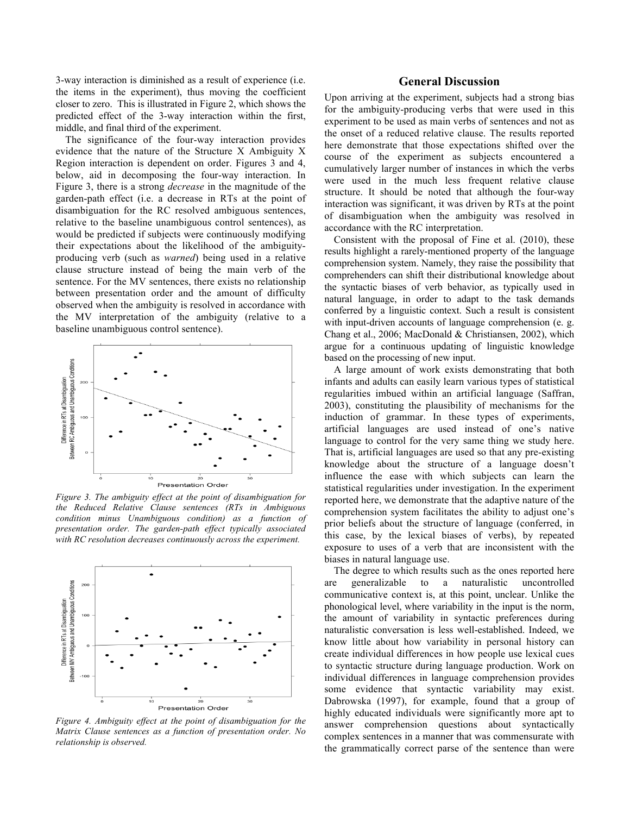3-way interaction is diminished as a result of experience (i.e. the items in the experiment), thus moving the coefficient closer to zero. This is illustrated in Figure 2, which shows the predicted effect of the 3-way interaction within the first, middle, and final third of the experiment.

The significance of the four-way interaction provides evidence that the nature of the Structure X Ambiguity X Region interaction is dependent on order. Figures 3 and 4, below, aid in decomposing the four-way interaction. In Figure 3, there is a strong *decrease* in the magnitude of the garden-path effect (i.e. a decrease in RTs at the point of disambiguation for the RC resolved ambiguous sentences, relative to the baseline unambiguous control sentences), as would be predicted if subjects were continuously modifying their expectations about the likelihood of the ambiguityproducing verb (such as *warned*) being used in a relative clause structure instead of being the main verb of the sentence. For the MV sentences, there exists no relationship between presentation order and the amount of difficulty observed when the ambiguity is resolved in accordance with the MV interpretation of the ambiguity (relative to a baseline unambiguous control sentence).



*Figure 3. The ambiguity effect at the point of disambiguation for the Reduced Relative Clause sentences (RTs in Ambiguous condition minus Unambiguous condition) as a function of presentation order. The garden-path effect typically associated with RC resolution decreases continuously across the experiment.*



*Figure 4. Ambiguity effect at the point of disambiguation for the Matrix Clause sentences as a function of presentation order. No relationship is observed.*

### **General Discussion**

Upon arriving at the experiment, subjects had a strong bias for the ambiguity-producing verbs that were used in this experiment to be used as main verbs of sentences and not as the onset of a reduced relative clause. The results reported here demonstrate that those expectations shifted over the course of the experiment as subjects encountered a cumulatively larger number of instances in which the verbs were used in the much less frequent relative clause structure. It should be noted that although the four-way interaction was significant, it was driven by RTs at the point of disambiguation when the ambiguity was resolved in accordance with the RC interpretation.

Consistent with the proposal of Fine et al. (2010), these results highlight a rarely-mentioned property of the language comprehension system. Namely, they raise the possibility that comprehenders can shift their distributional knowledge about the syntactic biases of verb behavior, as typically used in natural language, in order to adapt to the task demands conferred by a linguistic context. Such a result is consistent with input-driven accounts of language comprehension (e. g. Chang et al., 2006; MacDonald & Christiansen, 2002), which argue for a continuous updating of linguistic knowledge based on the processing of new input.

A large amount of work exists demonstrating that both infants and adults can easily learn various types of statistical regularities imbued within an artificial language (Saffran, 2003), constituting the plausibility of mechanisms for the induction of grammar. In these types of experiments, artificial languages are used instead of one's native language to control for the very same thing we study here. That is, artificial languages are used so that any pre-existing knowledge about the structure of a language doesn't influence the ease with which subjects can learn the statistical regularities under investigation. In the experiment reported here, we demonstrate that the adaptive nature of the comprehension system facilitates the ability to adjust one's prior beliefs about the structure of language (conferred, in this case, by the lexical biases of verbs), by repeated exposure to uses of a verb that are inconsistent with the biases in natural language use.

The degree to which results such as the ones reported here are generalizable to a naturalistic uncontrolled communicative context is, at this point, unclear. Unlike the phonological level, where variability in the input is the norm, the amount of variability in syntactic preferences during naturalistic conversation is less well-established. Indeed, we know little about how variability in personal history can create individual differences in how people use lexical cues to syntactic structure during language production. Work on individual differences in language comprehension provides some evidence that syntactic variability may exist. Dabrowska (1997), for example, found that a group of highly educated individuals were significantly more apt to answer comprehension questions about syntactically complex sentences in a manner that was commensurate with the grammatically correct parse of the sentence than were